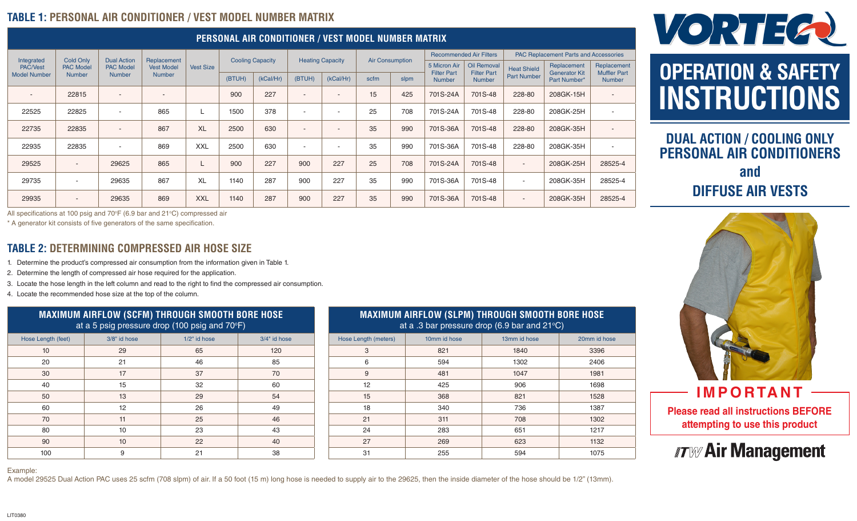### **TABLE 1: PERSONAL AIR CONDITIONER / VEST MODEL NUMBER MATRIX**

| PERSONAL AIR CONDITIONER / VEST MODEL NUMBER MATRIX  |                                                       |                                                         |                                                   |                  |                         |           |                         |                          |                        |      |                                    |                                   |                                              |                                     |                                    |
|------------------------------------------------------|-------------------------------------------------------|---------------------------------------------------------|---------------------------------------------------|------------------|-------------------------|-----------|-------------------------|--------------------------|------------------------|------|------------------------------------|-----------------------------------|----------------------------------------------|-------------------------------------|------------------------------------|
| Integrated<br><b>PAC/Vest</b><br><b>Model Number</b> | <b>Cold Only</b><br><b>PAC Model</b><br><b>Number</b> | <b>Dual Action</b><br><b>PAC Model</b><br><b>Number</b> | Replacement<br><b>Vest Model</b><br><b>Number</b> | <b>Vest Size</b> | <b>Cooling Capacity</b> |           | <b>Heating Capacity</b> |                          | <b>Air Consumption</b> |      | <b>Recommended Air Filters</b>     |                                   | <b>PAC Replacement Parts and Accessories</b> |                                     |                                    |
|                                                      |                                                       |                                                         |                                                   |                  |                         |           |                         |                          |                        |      | 5 Micron Air<br><b>Filter Part</b> | Oil Removal<br><b>Filter Part</b> | <b>Heat Shield</b>                           | Replacement<br><b>Generator Kit</b> | Replacement<br><b>Muffler Part</b> |
|                                                      |                                                       |                                                         |                                                   |                  | (BTUH)                  | (kCal/Hr) | (BTUH)                  | (kCal/Hr)                | scfm                   | slpm | <b>Number</b>                      | <b>Number</b>                     | <b>Part Number</b>                           | Part Number*                        | <b>Number</b>                      |
|                                                      | 22815                                                 | $\overline{\phantom{a}}$                                | $\overline{a}$                                    |                  | 900                     | 227       |                         | $\overline{\phantom{a}}$ | 15                     | 425  | 701S-24A                           | 701S-48                           | 228-80                                       | 208GK-15H                           | $\sim$                             |
| 22525                                                | 22825                                                 | $\overline{\phantom{a}}$                                | 865                                               |                  | 1500                    | 378       | $\sim$                  | $\overline{\phantom{a}}$ | 25                     | 708  | 701S-24A                           | 701S-48                           | 228-80                                       | 208GK-25H                           | $\overline{\phantom{a}}$           |
| 22735                                                | 22835                                                 | $\overline{\phantom{a}}$                                | 867                                               | <b>XL</b>        | 2500                    | 630       |                         | $\overline{\phantom{a}}$ | 35                     | 990  | 701S-36A                           | 701S-48                           | 228-80                                       | 208GK-35H                           | $\sim$                             |
| 22935                                                | 22835                                                 | $\overline{\phantom{a}}$                                | 869                                               | <b>XXL</b>       | 2500                    | 630       | <b>1999</b>             | $\overline{\phantom{a}}$ | 35                     | 990  | 701S-36A                           | 701S-48                           | 228-80                                       | 208GK-35H                           | $\overline{\phantom{a}}$           |
| 29525                                                | $\sim$                                                | 29625                                                   | 865                                               |                  | 900                     | 227       | 900                     | 227                      | 25                     | 708  | 701S-24A                           | 701S-48                           | $\sim$                                       | 208GK-25H                           | 28525-4                            |
| 29735                                                | $\overline{\phantom{a}}$                              | 29635                                                   | 867                                               | <b>XL</b>        | 1140                    | 287       | 900                     | 227                      | 35                     | 990  | 701S-36A                           | 701S-48                           | $\sim$                                       | 208GK-35H                           | 28525-4                            |
| 29935                                                | $\overline{\phantom{a}}$                              | 29635                                                   | 869                                               | <b>XXL</b>       | 1140                    | 287       | 900                     | 227                      | 35                     | 990  | 701S-36A                           | 701S-48                           | $\overline{\phantom{a}}$                     | 208GK-35H                           | 28525-4                            |

All specifications at 100 psig and 70°F (6.9 bar and 21°C) compressed air

\* A generator kit consists of five generators of the same specification.

#### **TABLE 2: DETERMINING COMPRESSED AIR HOSE SIZE**

1. Determine the product's compressed air consumption from the information given in Table 1.

2. Determine the length of compressed air hose required for the application.

3. Locate the hose length in the left column and read to the right to find the compressed air consumption.

4. Locate the recommended hose size at the top of the column.

| <b>MAXIMUM AIRFLOW (SCFM) THROUGH SMOOTH BORE HOSE</b><br>at a 5 psig pressure drop (100 psig and 70°F) |              |              |              |  |  |  |  |
|---------------------------------------------------------------------------------------------------------|--------------|--------------|--------------|--|--|--|--|
| Hose Length (feet)                                                                                      | 3/8" id hose | 1/2" id hose | 3/4" id hose |  |  |  |  |
| 10                                                                                                      | 29           | 65           | 120          |  |  |  |  |
| 20                                                                                                      | 21           | 46           | 85           |  |  |  |  |
| 30                                                                                                      | 17           | 37           | 70           |  |  |  |  |
| 40                                                                                                      | 15           | 32           | 60           |  |  |  |  |
| 50                                                                                                      | 13           | 29           | 54           |  |  |  |  |
| 60                                                                                                      | 12           | 26           | 49           |  |  |  |  |
| 70                                                                                                      | 11           | 25           | 46           |  |  |  |  |
| 80                                                                                                      | 10           | 23           | 43           |  |  |  |  |
| 90                                                                                                      | 10           | 22           | 40           |  |  |  |  |
| 100                                                                                                     | 9            | 21           | 38           |  |  |  |  |

#### **MAXIMUM AIRFLOW (SLPM) THROUGH SMOOTH BORE HOSE**  at a .3 bar pressure drop (6.9 bar and 21 $\degree$ C)

| Hose Length (meters) | 10mm id hose | 13mm id hose | 20mm id hose |
|----------------------|--------------|--------------|--------------|
| 3                    | 821          | 1840         | 3396         |
| 6                    | 594          | 1302         | 2406         |
| 9                    | 481          | 1047         | 1981         |
| 12                   | 425          | 906          | 1698         |
| 15                   | 368          | 821          | 1528         |
| 18                   | 340          | 736          | 1387         |
| 21                   | 311          | 708          | 1302         |
| 24                   | 283          | 651          | 1217         |
| 27                   | 269          | 623          | 1132         |
| 31                   | 255          | 594          | 1075         |



# **OPERATION & SAFETY INSTRUCTIONS**

### **DUAL ACTION / COOLING ONLY PERSONAL AIR CONDITIONERS and DIFFUSE AIR VESTS**



**Please read all instructions BEFORE attempting to use this product IMPORTANT** 

## *ITW* Air Management

Example:

A model 29525 Dual Action PAC uses 25 scfm (708 slpm) of air. If a 50 foot (15 m) long hose is needed to supply air to the 29625, then the inside diameter of the hose should be 1/2" (13mm).

LIT0380